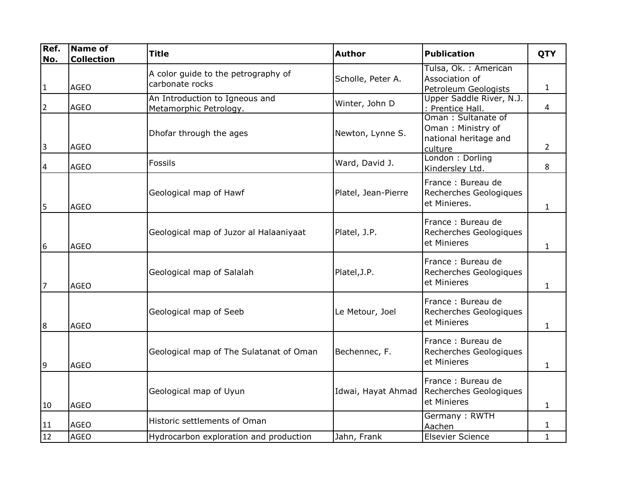| Ref.<br>No.    | Name of<br><b>Collection</b> | <b>Title</b>                                             | <b>Author</b>       | <b>Publication</b>                                                          | <b>QTY</b>     |
|----------------|------------------------------|----------------------------------------------------------|---------------------|-----------------------------------------------------------------------------|----------------|
| $\vert$ 1      | <b>AGEO</b>                  | A color guide to the petrography of<br>carbonate rocks   | Scholle, Peter A.   | Tulsa, Ok. : American<br>Association of<br>Petroleum Geologists             | $\mathbf{1}$   |
| $\overline{2}$ | <b>AGEO</b>                  | An Introduction to Igneous and<br>Metamorphic Petrology. | Winter, John D      | Upper Saddle River, N.J.<br>: Prentice Hall.                                | $\overline{4}$ |
| $\overline{3}$ | <b>AGEO</b>                  | Dhofar through the ages                                  | Newton, Lynne S.    | Oman: Sultanate of<br>Oman: Ministry of<br>national heritage and<br>culture | $2^{\circ}$    |
| 4              | <b>AGEO</b>                  | Fossils                                                  | Ward, David J.      | London: Dorling<br>Kindersley Ltd.                                          | 8              |
| 5              | <b>AGEO</b>                  | Geological map of Hawf                                   | Platel, Jean-Pierre | France: Bureau de<br>Recherches Geologiques<br>et Minieres.                 | $\mathbf{1}$   |
| 6              | <b>AGEO</b>                  | Geological map of Juzor al Halaaniyaat                   | Platel, J.P.        | France: Bureau de<br>Recherches Geologiques<br>et Minieres                  | $\mathbf{1}$   |
| $\overline{7}$ | <b>AGEO</b>                  | Geological map of Salalah                                | Platel, J.P.        | France: Bureau de<br>Recherches Geologiques<br>et Minieres                  | 1              |
| 8              | <b>AGEO</b>                  | Geological map of Seeb                                   | Le Metour, Joel     | France: Bureau de<br>Recherches Geologiques<br>et Minieres                  | $\mathbf{1}$   |
| 9              | <b>AGEO</b>                  | Geological map of The Sulatanat of Oman                  | Bechennec, F.       | France: Bureau de<br>Recherches Geologiques<br>et Minieres                  | $\mathbf{1}$   |
| 10             | <b>AGEO</b>                  | Geological map of Uyun                                   | Idwai, Hayat Ahmad  | France: Bureau de<br>Recherches Geologiques<br>et Minieres                  | $\mathbf{1}$   |
| 11             | <b>AGEO</b>                  | Historic settlements of Oman                             |                     | Germany: RWTH<br>Aachen                                                     | $\mathbf{1}$   |
| 12             | <b>AGEO</b>                  | Hydrocarbon exploration and production                   | Jahn, Frank         | <b>Elsevier Science</b>                                                     | $\mathbf{1}$   |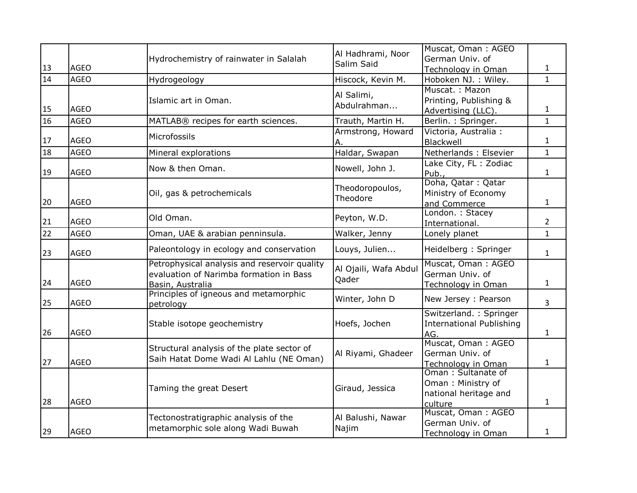|                 |             |                                              | Al Hadhrami, Noor          | Muscat, Oman: AGEO                                        |                |
|-----------------|-------------|----------------------------------------------|----------------------------|-----------------------------------------------------------|----------------|
|                 |             | Hydrochemistry of rainwater in Salalah       | Salim Said                 | German Univ. of                                           |                |
| 13              | <b>AGEO</b> |                                              |                            | Technology in Oman                                        | $\mathbf{1}$   |
| 14              | <b>AGEO</b> | Hydrogeology                                 | Hiscock, Kevin M.          | Hoboken NJ. : Wiley.                                      | $\mathbf{1}$   |
|                 |             |                                              | Al Salimi,                 | Muscat.: Mazon                                            |                |
|                 |             | Islamic art in Oman.                         | Abdulrahman                | Printing, Publishing &                                    |                |
| 15              | <b>AGEO</b> |                                              |                            | Advertising (LLC).                                        | $\mathbf{1}$   |
| 16              | <b>AGEO</b> | MATLAB® recipes for earth sciences.          | Trauth, Martin H.          | Berlin.: Springer.                                        | $\mathbf{1}$   |
|                 |             | Microfossils                                 | Armstrong, Howard          | Victoria, Australia :                                     |                |
| 17              | <b>AGEO</b> |                                              | Α.                         | Blackwell                                                 | $\mathbf{1}$   |
| 18              | <b>AGEO</b> | Mineral explorations                         | Haldar, Swapan             | Netherlands: Elsevier                                     | $\mathbf{1}$   |
|                 |             | Now & then Oman.                             | Nowell, John J.            | Lake City, FL: Zodiac                                     |                |
| 19              | AGEO        |                                              |                            | Pub.,                                                     | $\mathbf{1}$   |
|                 |             |                                              | Theodoropoulos,            | Doha, Qatar: Qatar                                        |                |
|                 |             | Oil, gas & petrochemicals                    | Theodore                   | Ministry of Economy                                       |                |
| 20              | <b>AGEO</b> |                                              |                            | and Commerce                                              | $\mathbf{1}$   |
|                 |             | Old Oman.                                    | Peyton, W.D.               | London.: Stacey                                           |                |
| 21              | <b>AGEO</b> |                                              |                            | International.                                            | $\overline{2}$ |
| $\overline{22}$ | <b>AGEO</b> | Oman, UAE & arabian penninsula.              | Walker, Jenny              | Lonely planet                                             | $\mathbf{1}$   |
| 23              | <b>AGEO</b> | Paleontology in ecology and conservation     | Louys, Julien              | Heidelberg: Springer                                      | $\mathbf{1}$   |
|                 |             | Petrophysical analysis and reservoir quality | Al Ojaili, Wafa Abdul      | Muscat, Oman: AGEO                                        |                |
|                 |             | evaluation of Narimba formation in Bass      | Qader                      | German Univ. of                                           |                |
| 24              | <b>AGEO</b> | Basin, Australia                             |                            | Technology in Oman                                        | $\mathbf{1}$   |
| 25              | <b>AGEO</b> | Principles of igneous and metamorphic        | Winter, John D             | New Jersey : Pearson                                      | $\overline{3}$ |
|                 |             | petrology                                    |                            |                                                           |                |
|                 |             | Stable isotope geochemistry                  | Hoefs, Jochen              | Switzerland.: Springer<br><b>International Publishing</b> |                |
| 26              | <b>AGEO</b> |                                              |                            | AG.                                                       | $\mathbf{1}$   |
|                 |             |                                              |                            | Muscat, Oman: AGEO                                        |                |
|                 |             | Structural analysis of the plate sector of   | Al Riyami, Ghadeer         | German Univ. of                                           |                |
| 27              | AGEO        | Saih Hatat Dome Wadi Al Lahlu (NE Oman)      |                            | Technology in Oman                                        | $\mathbf{1}$   |
|                 |             |                                              |                            | Oman: Sultanate of                                        |                |
|                 |             |                                              |                            | Oman: Ministry of                                         |                |
|                 |             | Taming the great Desert                      | Giraud, Jessica            | national heritage and                                     |                |
| 28              | <b>AGEO</b> |                                              |                            | culture                                                   | $\mathbf{1}$   |
|                 |             |                                              |                            | Muscat, Oman: AGEO                                        |                |
|                 |             | Tectonostratigraphic analysis of the         | Al Balushi, Nawar<br>Najim | German Univ. of                                           |                |
| 29              | <b>AGEO</b> | metamorphic sole along Wadi Buwah            |                            | Technology in Oman                                        | 1              |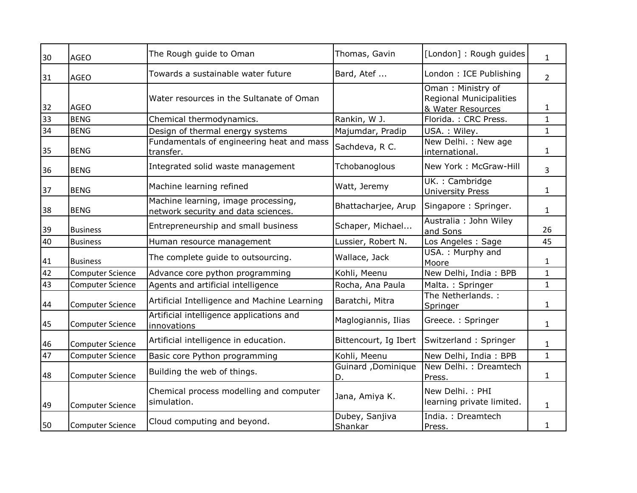| 30 | <b>AGEO</b>             | The Rough guide to Oman                                                    | Thomas, Gavin             | [London]: Rough guides                                                   | $\mathbf{1}$   |
|----|-------------------------|----------------------------------------------------------------------------|---------------------------|--------------------------------------------------------------------------|----------------|
| 31 | <b>AGEO</b>             | Towards a sustainable water future                                         | Bard, Atef                | London: ICE Publishing                                                   | $\overline{2}$ |
| 32 | <b>AGEO</b>             | Water resources in the Sultanate of Oman                                   |                           | Oman: Ministry of<br><b>Regional Municipalities</b><br>& Water Resources | 1              |
| 33 | <b>BENG</b>             | Chemical thermodynamics.                                                   | Rankin, W J.              | Florida.: CRC Press.                                                     | $\mathbf{1}$   |
| 34 | <b>BENG</b>             | Design of thermal energy systems                                           | Majumdar, Pradip          | USA.: Wiley.                                                             | $\mathbf{1}$   |
| 35 | <b>BENG</b>             | Fundamentals of engineering heat and mass<br>transfer.                     | Sachdeva, R C.            | New Delhi. : New age<br>international.                                   | $\mathbf{1}$   |
| 36 | <b>BENG</b>             | Integrated solid waste management                                          | Tchobanoglous             | New York: McGraw-Hill                                                    | 3              |
| 37 | <b>BENG</b>             | Machine learning refined                                                   | Watt, Jeremy              | UK.: Cambridge<br><b>University Press</b>                                | $\mathbf{1}$   |
| 38 | <b>BENG</b>             | Machine learning, image processing,<br>network security and data sciences. | Bhattacharjee, Arup       | Singapore: Springer.                                                     | $\mathbf{1}$   |
| 39 | <b>Business</b>         | Entrepreneurship and small business                                        | Schaper, Michael          | Australia : John Wiley<br>and Sons                                       | 26             |
| 40 | <b>Business</b>         | Human resource management                                                  | Lussier, Robert N.        | Los Angeles: Sage                                                        | 45             |
| 41 | <b>Business</b>         | The complete guide to outsourcing.                                         | Wallace, Jack             | USA.: Murphy and<br>Moore                                                | $\mathbf{1}$   |
| 42 | <b>Computer Science</b> | Advance core python programming                                            | Kohli, Meenu              | New Delhi, India: BPB                                                    | $\mathbf{1}$   |
| 43 | <b>Computer Science</b> | Agents and artificial intelligence                                         | Rocha, Ana Paula          | Malta.: Springer                                                         | $\mathbf{1}$   |
| 44 | <b>Computer Science</b> | Artificial Intelligence and Machine Learning                               | Baratchi, Mitra           | The Netherlands.:<br>Springer                                            | $\mathbf{1}$   |
| 45 | <b>Computer Science</b> | Artificial intelligence applications and<br>innovations                    | Maglogiannis, Ilias       | Greece.: Springer                                                        | $\mathbf{1}$   |
| 46 | <b>Computer Science</b> | Artificial intelligence in education.                                      | Bittencourt, Ig Ibert     | Switzerland: Springer                                                    | $\mathbf{1}$   |
| 47 | <b>Computer Science</b> | Basic core Python programming                                              | Kohli, Meenu              | New Delhi, India: BPB                                                    | $\mathbf{1}$   |
| 48 | <b>Computer Science</b> | Building the web of things.                                                | Guinard, Dominique<br>D.  | New Delhi.: Dreamtech<br>Press.                                          | $\mathbf{1}$   |
| 49 | <b>Computer Science</b> | Chemical process modelling and computer<br>simulation.                     | Jana, Amiya K.            | New Delhi.: PHI<br>learning private limited.                             | $\mathbf{1}$   |
| 50 | <b>Computer Science</b> | Cloud computing and beyond.                                                | Dubey, Sanjiva<br>Shankar | India.: Dreamtech<br>Press.                                              | 1              |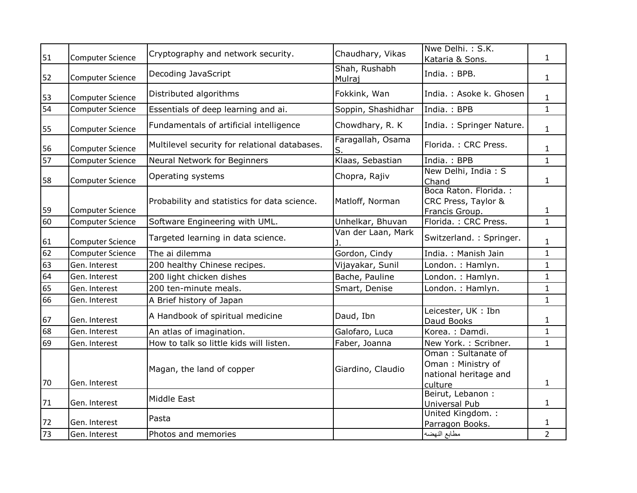| 51 | <b>Computer Science</b> | Cryptography and network security.            | Chaudhary, Vikas        | Nwe Delhi.: S.K.<br>Kataria & Sons.                                         | $\mathbf{1}$   |
|----|-------------------------|-----------------------------------------------|-------------------------|-----------------------------------------------------------------------------|----------------|
| 52 | <b>Computer Science</b> | Decoding JavaScript                           | Shah, Rushabh<br>Mulraj | India.: BPB.                                                                | $\mathbf{1}$   |
| 53 | <b>Computer Science</b> | Distributed algorithms                        | Fokkink, Wan            | India.: Asoke k. Ghosen                                                     | $\mathbf{1}$   |
| 54 | <b>Computer Science</b> | Essentials of deep learning and ai.           | Soppin, Shashidhar      | India.: BPB                                                                 | $\mathbf{1}$   |
| 55 | Computer Science        | Fundamentals of artificial intelligence       | Chowdhary, R. K         | India.: Springer Nature.                                                    | $\mathbf{1}$   |
| 56 | <b>Computer Science</b> | Multilevel security for relational databases. | Faragallah, Osama<br>S. | Florida.: CRC Press.                                                        | $\mathbf{1}$   |
| 57 | Computer Science        | Neural Network for Beginners                  | Klaas, Sebastian        | India.: BPB                                                                 | $\mathbf{1}$   |
| 58 | <b>Computer Science</b> | Operating systems                             | Chopra, Rajiv           | New Delhi, India: S<br>Chand                                                | $\mathbf{1}$   |
| 59 | <b>Computer Science</b> | Probability and statistics for data science.  | Matloff, Norman         | Boca Raton. Florida. :<br>CRC Press, Taylor &<br>Francis Group.             | $\mathbf{1}$   |
| 60 | <b>Computer Science</b> | Software Engineering with UML.                | Unhelkar, Bhuvan        | Florida.: CRC Press.                                                        | $\mathbf{1}$   |
| 61 | <b>Computer Science</b> | Targeted learning in data science.            | Van der Laan, Mark      | Switzerland.: Springer.                                                     | $\mathbf{1}$   |
| 62 | <b>Computer Science</b> | The ai dilemma                                | Gordon, Cindy           | India.: Manish Jain                                                         | $\mathbf{1}$   |
| 63 | Gen. Interest           | 200 healthy Chinese recipes.                  | Vijayakar, Sunil        | London.: Hamlyn.                                                            | $\mathbf{1}$   |
| 64 | Gen. Interest           | 200 light chicken dishes                      | Bache, Pauline          | London.: Hamlyn.                                                            | $\mathbf{1}$   |
| 65 | Gen. Interest           | 200 ten-minute meals.                         | Smart, Denise           | London.: Hamlyn.                                                            | $\mathbf{1}$   |
| 66 | Gen. Interest           | A Brief history of Japan                      |                         |                                                                             | $\mathbf{1}$   |
| 67 | Gen. Interest           | A Handbook of spiritual medicine              | Daud, Ibn               | Leicester, UK: Ibn<br>Daud Books                                            | $\mathbf{1}$   |
| 68 | Gen. Interest           | An atlas of imagination.                      | Galofaro, Luca          | Korea.: Damdi.                                                              | $\mathbf{1}$   |
| 69 | Gen. Interest           | How to talk so little kids will listen.       | Faber, Joanna           | New York. : Scribner.                                                       | $\mathbf{1}$   |
| 70 | Gen. Interest           | Magan, the land of copper                     | Giardino, Claudio       | Oman: Sultanate of<br>Oman: Ministry of<br>national heritage and<br>culture | $\mathbf{1}$   |
| 71 | Gen. Interest           | Middle East                                   |                         | Beirut, Lebanon :<br>Universal Pub                                          | $\mathbf{1}$   |
| 72 | Gen. Interest           | Pasta                                         |                         | United Kingdom. :<br>Parragon Books.                                        | 1              |
| 73 | Gen. Interest           | Photos and memories                           |                         | مطابع النهضه                                                                | $\overline{2}$ |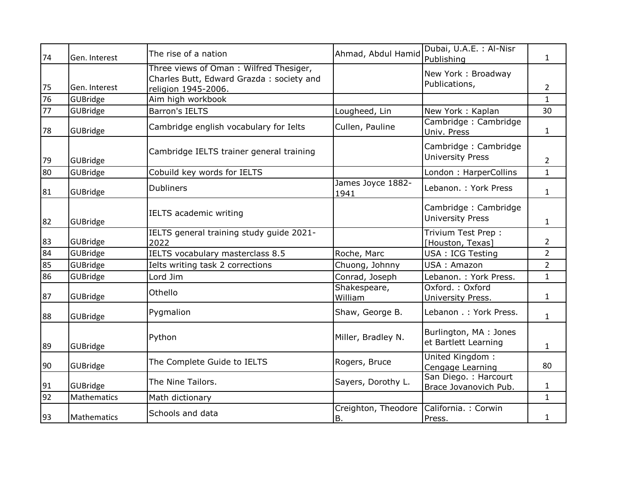| 74 | Gen. Interest | The rise of a nation                                                                                      | Ahmad, Abdul Hamid        | Dubai, U.A.E. : Al-Nisr<br>Publishing           | $\mathbf{1}$   |
|----|---------------|-----------------------------------------------------------------------------------------------------------|---------------------------|-------------------------------------------------|----------------|
| 75 | Gen. Interest | Three views of Oman: Wilfred Thesiger,<br>Charles Butt, Edward Grazda: society and<br>religion 1945-2006. |                           | New York: Broadway<br>Publications,             | $\overline{2}$ |
| 76 | GUBridge      | Aim high workbook                                                                                         |                           |                                                 | $\mathbf{1}$   |
| 77 | GUBridge      | <b>Barron's IELTS</b>                                                                                     | Lougheed, Lin             | New York: Kaplan                                | 30             |
| 78 | GUBridge      | Cambridge english vocabulary for Ielts                                                                    | Cullen, Pauline           | Cambridge: Cambridge<br>Univ. Press             | $\mathbf{1}$   |
| 79 | GUBridge      | Cambridge IELTS trainer general training                                                                  |                           | Cambridge: Cambridge<br><b>University Press</b> | $\overline{2}$ |
| 80 | GUBridge      | Cobuild key words for IELTS                                                                               |                           | London: HarperCollins                           | $\mathbf{1}$   |
| 81 | GUBridge      | <b>Dubliners</b>                                                                                          | James Joyce 1882-<br>1941 | Lebanon. : York Press                           | $\mathbf{1}$   |
| 82 | GUBridge      | IELTS academic writing                                                                                    |                           | Cambridge: Cambridge<br><b>University Press</b> | $\mathbf{1}$   |
| 83 | GUBridge      | IELTS general training study guide 2021-<br>2022                                                          |                           | Trivium Test Prep :<br>[Houston, Texas]         | $\overline{2}$ |
| 84 | GUBridge      | IELTS vocabulary masterclass 8.5                                                                          | Roche, Marc               | USA: ICG Testing                                | $\overline{2}$ |
| 85 | GUBridge      | Ielts writing task 2 corrections                                                                          | Chuong, Johnny            | USA: Amazon                                     | $\overline{2}$ |
| 86 | GUBridge      | Lord Jim                                                                                                  | Conrad, Joseph            | Lebanon. : York Press.                          | $\mathbf{1}$   |
| 87 | GUBridge      | Othello                                                                                                   | Shakespeare,<br>William   | Oxford.: Oxford<br>University Press.            | $\mathbf{1}$   |
| 88 | GUBridge      | Pygmalion                                                                                                 | Shaw, George B.           | Lebanon .: York Press.                          | $\mathbf{1}$   |
| 89 | GUBridge      | Python                                                                                                    | Miller, Bradley N.        | Burlington, MA: Jones<br>et Bartlett Learning   | $\mathbf{1}$   |
| 90 | GUBridge      | The Complete Guide to IELTS                                                                               | Rogers, Bruce             | United Kingdom:<br>Cengage Learning             | 80             |
| 91 | GUBridge      | The Nine Tailors.                                                                                         | Sayers, Dorothy L.        | San Diego. : Harcourt<br>Brace Jovanovich Pub.  | 1              |
| 92 | Mathematics   | Math dictionary                                                                                           |                           |                                                 | $\mathbf{1}$   |
| 93 | Mathematics   | Schools and data                                                                                          | Creighton, Theodore<br>B. | California. : Corwin<br>Press.                  | $\mathbf{1}$   |